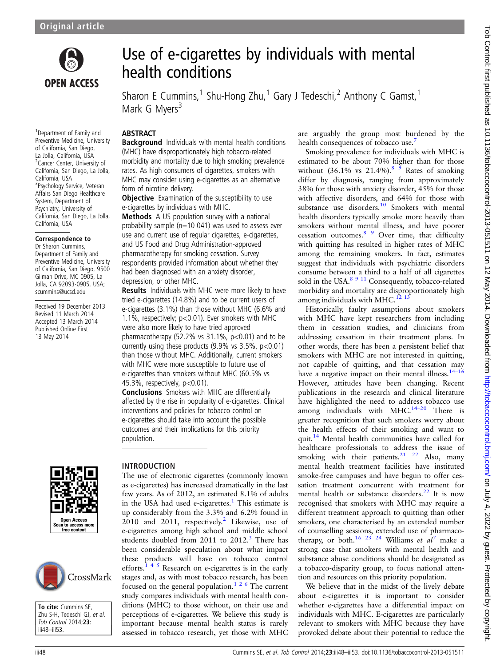

<sup>1</sup>Department of Family and Preventive Medicine, University of California, San Diego, La Jolla, California, USA <sup>2</sup> Cancer Center, University of California, San Diego, La Jolla,

<sup>3</sup>Psychology Service, Veteran Affairs San Diego Healthcare System, Department of Psychiatry, University of California, San Diego, La Jolla,

California, USA

California, USA

Correspondence to Dr Sharon Cummins, Department of Family and Preventive Medicine, University of California, San Diego, 9500 Gilman Drive, MC 0905, La Jolla, CA 92093-0905, USA; scummins@ucsd.edu

Received 19 December 2013 Revised 11 March 2014 Accepted 13 March 2014 Published Online First 13 May 2014

# Use of e-cigarettes by individuals with mental health conditions

Sharon E Cummins,<sup>1</sup> Shu-Hong Zhu,<sup>1</sup> Gary J Tedeschi,<sup>2</sup> Anthony C Gamst,<sup>1</sup> Mark G Myers $<sup>3</sup>$ </sup>

### ABSTRACT

**Background** Individuals with mental health conditions (MHC) have disproportionately high tobacco-related morbidity and mortality due to high smoking prevalence rates. As high consumers of cigarettes, smokers with MHC may consider using e-cigarettes as an alternative form of nicotine delivery.

**Objective** Examination of the susceptibility to use e-cigarettes by individuals with MHC.

Methods A US population survey with a national probability sample ( $n=10041$ ) was used to assess ever use and current use of regular cigarettes, e-cigarettes, and US Food and Drug Administration-approved pharmacotherapy for smoking cessation. Survey respondents provided information about whether they had been diagnosed with an anxiety disorder, depression, or other MHC.

**Results** Individuals with MHC were more likely to have tried e-cigarettes (14.8%) and to be current users of e-cigarettes (3.1%) than those without MHC (6.6% and 1.1%, respectively; p<0.01). Ever smokers with MHC were also more likely to have tried approved pharmacotherapy (52.2% vs  $31.1\%$ ,  $p<0.01$ ) and to be currently using these products  $(9.9\% \text{ vs } 3.5\%, \text{ p} < 0.01)$ than those without MHC. Additionally, current smokers with MHC were more susceptible to future use of e-cigarettes than smokers without MHC (60.5% vs 45.3%, respectively, p<0.01).

Conclusions Smokers with MHC are differentially affected by the rise in popularity of e-cigarettes. Clinical interventions and policies for tobacco control on e-cigarettes should take into account the possible outcomes and their implications for this priority population.





To cite: Cummins SE. Zhu S-H, Tedeschi GJ, et al. Tob Control 2014;23: iii48–iii53.

#### INTRODUCTION

The use of electronic cigarettes (commonly known as e-cigarettes) has increased dramatically in the last few years. As of 2012, an estimated 8.1% of adults in the USA had used e-cigarettes.<sup>[1](#page-5-0)</sup> This estimate is up considerably from the 3.3% and 6.2% found in [2](#page-5-0)010 and 2011, respectively.<sup>2</sup> Likewise, use of e-cigarettes among high school and middle school students doubled from 2011 to  $2012<sup>3</sup>$  $2012<sup>3</sup>$  $2012<sup>3</sup>$ . There has been considerable speculation about what impact these products will have on tobacco control efforts.<sup>[145](#page-5-0)</sup> Research on e-cigarettes is in the early stages and, as with most tobacco research, has been focused on the general population.<sup>[126](#page-5-0)</sup> The current study compares individuals with mental health conditions (MHC) to those without, on their use and perceptions of e-cigarettes. We believe this study is important because mental health status is rarely assessed in tobacco research, yet those with MHC

are arguably the group most burdened by the health consequences of tobacco use.<sup>[7](#page-5-0)</sup>

Smoking prevalence for individuals with MHC is estimated to be about 70% higher than for those without (36.1% vs 21.4%).<sup>8</sup>  $\frac{9}{9}$  Rates of smoking differ by diagnosis, ranging from approximately 38% for those with anxiety disorder, 45% for those with affective disorders, and 64% for those with substance use disorders.<sup>[10](#page-5-0)</sup> Smokers with mental health disorders typically smoke more heavily than smokers without mental illness, and have poorer cessation outcomes. $89$  Over time, that difficulty with quitting has resulted in higher rates of MHC among the remaining smokers. In fact, estimates suggest that individuals with psychiatric disorders consume between a third to a half of all cigarettes sold in the USA.<sup>8 9 11</sup> Consequently, tobacco-related morbidity and mortality are disproportionately high among individuals with MHC. $^{12}$ <sup>1</sup>

Historically, faulty assumptions about smokers with MHC have kept researchers from including them in cessation studies, and clinicians from addressing cessation in their treatment plans. In other words, there has been a persistent belief that smokers with MHC are not interested in quitting, not capable of quitting, and that cessation may have a negative impact on their mental illness.<sup>[14](#page-5-0)-16</sup> However, attitudes have been changing. Recent publications in the research and clinical literature have highlighted the need to address tobacco use among individuals with MHC.<sup>[14](#page-5-0)-20</sup> There is greater recognition that such smokers worry about the health effects of their smoking and want to quit.<sup>[14](#page-5-0)</sup> Mental health communities have called for healthcare professionals to address the issue of smoking with their patients.<sup>21</sup> <sup>22</sup> Also, many mental health treatment facilities have instituted smoke-free campuses and have begun to offer cessation treatment concurrent with treatment for mental health or substance disorders.<sup>22</sup> It is now recognised that smokers with MHC may require a different treatment approach to quitting than other smokers, one characterised by an extended number of counselling sessions, extended use of pharmaco-therapy, or both.<sup>[16 23 24](#page-5-0)</sup> Williams *et al*<sup>[7](#page-5-0)</sup> make a strong case that smokers with mental health and substance abuse conditions should be designated as a tobacco-disparity group, to focus national attention and resources on this priority population.

We believe that in the midst of the lively debate about e-cigarettes it is important to consider whether e-cigarettes have a differential impact on individuals with MHC. E-cigarettes are particularly relevant to smokers with MHC because they have provoked debate about their potential to reduce the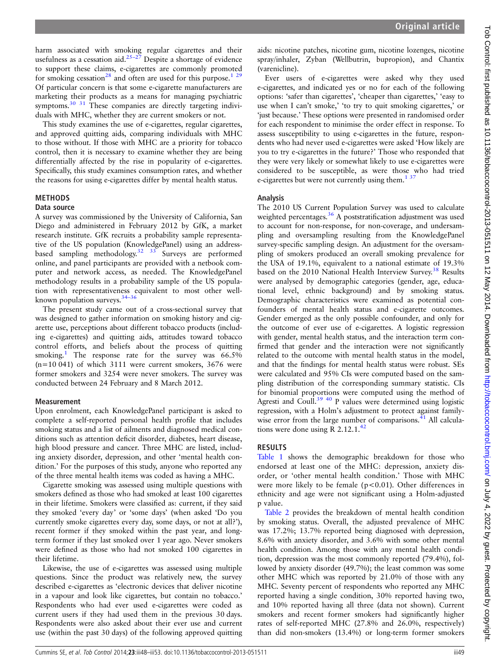harm associated with smoking regular cigarettes and their usefulness as a cessation aid.<sup>25-27</sup> Despite a shortage of evidence to support these claims, e-cigarettes are commonly promoted for smoking cessation<sup>28</sup> and often are used for this purpose.<sup>1</sup> <sup>29</sup> Of particular concern is that some e-cigarette manufacturers are marketing their products as a means for managing psychiatric symptoms.<sup>[30 31](#page-5-0)</sup> These companies are directly targeting individuals with MHC, whether they are current smokers or not.

This study examines the use of e-cigarettes, regular cigarettes, and approved quitting aids, comparing individuals with MHC to those without. If those with MHC are a priority for tobacco control, then it is necessary to examine whether they are being differentially affected by the rise in popularity of e-cigarettes. Specifically, this study examines consumption rates, and whether the reasons for using e-cigarettes differ by mental health status.

#### METHODS

#### Data source

A survey was commissioned by the University of California, San Diego and administered in February 2012 by GfK, a market research institute. GfK recruits a probability sample representative of the US population (KnowledgePanel) using an addressbased sampling methodology.<sup>32</sup> <sup>33</sup> Surveys are performed online, and panel participants are provided with a netbook computer and network access, as needed. The KnowledgePanel methodology results in a probability sample of the US population with representativeness equivalent to most other well-known population surveys.<sup>34-[36](#page-5-0)</sup>

The present study came out of a cross-sectional survey that was designed to gather information on smoking history and cigarette use, perceptions about different tobacco products (including e-cigarettes) and quitting aids, attitudes toward tobacco control efforts, and beliefs about the process of quitting smoking.<sup>[1](#page-5-0)</sup> The response rate for the survey was  $66.5\%$  $(n=10 041)$  of which 3111 were current smokers, 3676 were former smokers and 3254 were never smokers. The survey was conducted between 24 February and 8 March 2012.

#### Measurement

Upon enrolment, each KnowledgePanel participant is asked to complete a self-reported personal health profile that includes smoking status and a list of ailments and diagnosed medical conditions such as attention deficit disorder, diabetes, heart disease, high blood pressure and cancer. Three MHC are listed, including anxiety disorder, depression, and other 'mental health condition.' For the purposes of this study, anyone who reported any of the three mental health items was coded as having a MHC.

Cigarette smoking was assessed using multiple questions with smokers defined as those who had smoked at least 100 cigarettes in their lifetime. Smokers were classified as: current, if they said they smoked 'every day' or 'some days' (when asked 'Do you currently smoke cigarettes every day, some days, or not at all?'), recent former if they smoked within the past year, and longterm former if they last smoked over 1 year ago. Never smokers were defined as those who had not smoked 100 cigarettes in their lifetime.

Likewise, the use of e-cigarettes was assessed using multiple questions. Since the product was relatively new, the survey described e-cigarettes as 'electronic devices that deliver nicotine in a vapour and look like cigarettes, but contain no tobacco.' Respondents who had ever used e-cigarettes were coded as current users if they had used them in the previous 30 days. Respondents were also asked about their ever use and current use (within the past 30 days) of the following approved quitting

aids: nicotine patches, nicotine gum, nicotine lozenges, nicotine spray/inhaler, Zyban (Wellbutrin, bupropion), and Chantix (varenicline).

Ever users of e-cigarettes were asked why they used e-cigarettes, and indicated yes or no for each of the following options: 'safer than cigarettes', 'cheaper than cigarettes,' 'easy to use when I can't smoke,' 'to try to quit smoking cigarettes,' or 'just because.' These options were presented in randomised order for each respondent to minimise the order effect in response. To assess susceptibility to using e-cigarettes in the future, respondents who had never used e-cigarettes were asked 'How likely are you to try e-cigarettes in the future?' Those who responded that they were very likely or somewhat likely to use e-cigarettes were considered to be susceptible, as were those who had tried e-cigarettes but were not currently using them.<sup>137</sup>

#### Analysis

The 2010 US Current Population Survey was used to calculate weighted percentages.<sup>[36](#page-5-0)</sup> A poststratification adjustment was used to account for non-response, for non-coverage, and undersampling and oversampling resulting from the KnowledgePanel survey-specific sampling design. An adjustment for the oversampling of smokers produced an overall smoking prevalence for the USA of 19.1%, equivalent to a national estimate of 19.3% based on the 2010 National Health Interview Survey.<sup>[38](#page-5-0)</sup> Results were analysed by demographic categories (gender, age, educational level, ethnic background) and by smoking status. Demographic characteristics were examined as potential confounders of mental health status and e-cigarette outcomes. Gender emerged as the only possible confounder, and only for the outcome of ever use of e-cigarettes. A logistic regression with gender, mental health status, and the interaction term confirmed that gender and the interaction were not significantly related to the outcome with mental health status in the model, and that the findings for mental health status were robust. SEs were calculated and 95% CIs were computed based on the sampling distribution of the corresponding summary statistic. CIs for binomial proportions were computed using the method of Agresti and Coull.<sup>[39 40](#page-5-0)</sup> P values were determined using logistic regression, with a Holm's adjustment to protect against familywise error from the large number of comparisons. $41$  All calculations were done using  $\overline{R}$  2.12.1.<sup>42</sup>

#### RESULTS

[Table 1](#page-2-0) shows the demographic breakdown for those who endorsed at least one of the MHC: depression, anxiety disorder, or 'other mental health condition.' Those with MHC were more likely to be female ( $p < 0.01$ ). Other differences in ethnicity and age were not significant using a Holm-adjusted p value.

[Table 2](#page-2-0) provides the breakdown of mental health condition by smoking status. Overall, the adjusted prevalence of MHC was 17.2%; 13.7% reported being diagnosed with depression, 8.6% with anxiety disorder, and 3.6% with some other mental health condition. Among those with any mental health condition, depression was the most commonly reported (79.4%), followed by anxiety disorder (49.7%); the least common was some other MHC which was reported by 21.0% of those with any MHC. Seventy percent of respondents who reported any MHC reported having a single condition, 30% reported having two, and 10% reported having all three (data not shown). Current smokers and recent former smokers had significantly higher rates of self-reported MHC (27.8% and 26.0%, respectively) than did non-smokers (13.4%) or long-term former smokers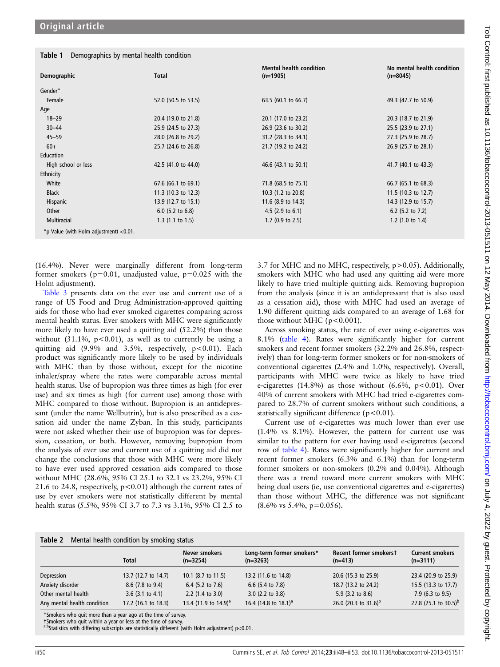<span id="page-2-0"></span>

|  | Table 1 Demographics by mental health condition |  |  |  |
|--|-------------------------------------------------|--|--|--|
|--|-------------------------------------------------|--|--|--|

| <b>Demographic</b>                     | <b>Total</b>                   | <b>Mental health condition</b><br>$(n=1905)$ | No mental health condition<br>$(n=8045)$ |
|----------------------------------------|--------------------------------|----------------------------------------------|------------------------------------------|
| Gender*                                |                                |                                              |                                          |
| Female                                 | 52.0 (50.5 to 53.5)            | 63.5 (60.1 to 66.7)                          | 49.3 (47.7 to 50.9)                      |
| Age                                    |                                |                                              |                                          |
| $18 - 29$                              | 20.4 (19.0 to 21.8)            | 20.1 (17.0 to 23.2)                          | 20.3 (18.7 to 21.9)                      |
| $30 - 44$                              | 25.9 (24.5 to 27.3)            | 26.9 (23.6 to 30.2)                          | 25.5 (23.9 to 27.1)                      |
| $45 - 59$                              | 28.0 (26.8 to 29.2)            | 31.2 (28.3 to 34.1)                          | 27.3 (25.9 to 28.7)                      |
| $60+$                                  | 25.7 (24.6 to 26.8)            | 21.7 (19.2 to 24.2)                          | 26.9 (25.7 to 28.1)                      |
| Education                              |                                |                                              |                                          |
| High school or less                    | 42.5 (41.0 to 44.0)            | 46.6 (43.1 to 50.1)                          | 41.7 (40.1 to 43.3)                      |
| Ethnicity                              |                                |                                              |                                          |
| White                                  | 67.6 (66.1 to 69.1)            | 71.8 (68.5 to 75.1)                          | 66.7 (65.1 to 68.3)                      |
| <b>Black</b>                           | 11.3 $(10.3 \text{ to } 12.3)$ | 10.3 $(1.2 \text{ to } 20.8)$                | 11.5 $(10.3 \text{ to } 12.7)$           |
| Hispanic                               | 13.9 $(12.7 \text{ to } 15.1)$ | 11.6 $(8.9 \text{ to } 14.3)$                | 14.3 (12.9 to 15.7)                      |
| Other                                  | $6.0$ (5.2 to $6.8$ )          | 4.5 $(2.9 \text{ to } 6.1)$                  | 6.2 $(5.2 \text{ to } 7.2)$              |
| Multiracial                            | $1.3$ (1.1 to 1.5)             | 1.7 $(0.9 \text{ to } 2.5)$                  | 1.2 $(1.0 \text{ to } 1.4)$              |
| *p Value (with Holm adjustment) <0.01. |                                |                                              |                                          |

(16.4%). Never were marginally different from long-term former smokers ( $p=0.01$ , unadjusted value,  $p=0.025$  with the Holm adjustment).

[Table 3](#page-3-0) presents data on the ever use and current use of a range of US Food and Drug Administration-approved quitting aids for those who had ever smoked cigarettes comparing across mental health status. Ever smokers with MHC were significantly more likely to have ever used a quitting aid (52.2%) than those without  $(31.1\%, p<0.01)$ , as well as to currently be using a quitting aid (9.9% and 3.5%, respectively, p<0.01). Each product was significantly more likely to be used by individuals with MHC than by those without, except for the nicotine inhaler/spray where the rates were comparable across mental health status. Use of bupropion was three times as high (for ever use) and six times as high (for current use) among those with MHC compared to those without. Bupropion is an antidepressant (under the name Wellbutrin), but is also prescribed as a cessation aid under the name Zyban. In this study, participants were not asked whether their use of bupropion was for depression, cessation, or both. However, removing bupropion from the analysis of ever use and current use of a quitting aid did not change the conclusions that those with MHC were more likely to have ever used approved cessation aids compared to those without MHC (28.6%, 95% CI 25.1 to 32.1 vs 23.2%, 95% CI 21.6 to 24.8, respectively,  $p < 0.01$ ) although the current rates of use by ever smokers were not statistically different by mental health status (5.5%, 95% CI 3.7 to 7.3 vs 3.1%, 95% CI 2.5 to 3.7 for MHC and no MHC, respectively, p>0.05). Additionally, smokers with MHC who had used any quitting aid were more likely to have tried multiple quitting aids. Removing bupropion from the analysis (since it is an antidepressant that is also used as a cessation aid), those with MHC had used an average of 1.90 different quitting aids compared to an average of 1.68 for those without MHC ( $p < 0.001$ ).

Across smoking status, the rate of ever using e-cigarettes was 8.1% ([table 4](#page-3-0)). Rates were significantly higher for current smokers and recent former smokers (32.2% and 26.8%, respectively) than for long-term former smokers or for non-smokers of conventional cigarettes (2.4% and 1.0%, respectively). Overall, participants with MHC were twice as likely to have tried e-cigarettes (14.8%) as those without (6.6%,  $p<0.01$ ). Over 40% of current smokers with MHC had tried e-cigarettes compared to 28.7% of current smokers without such conditions, a statistically significant difference ( $p < 0.01$ ).

Current use of e-cigarettes was much lower than ever use (1.4% vs 8.1%). However, the pattern for current use was similar to the pattern for ever having used e-cigarettes (second row of [table 4\)](#page-3-0). Rates were significantly higher for current and recent former smokers (6.3% and 6.1%) than for long-term former smokers or non-smokers (0.2% and 0.04%). Although there was a trend toward more current smokers with MHC being dual users (ie, use conventional cigarettes and e-cigarettes) than those without MHC, the difference was not significant  $(8.6\% \text{ vs } 5.4\%, \text{ p} = 0.056).$ 

| Mental health condition by smoking status<br>Table 2 |                     |                                  |                                         |                                            |                                      |
|------------------------------------------------------|---------------------|----------------------------------|-----------------------------------------|--------------------------------------------|--------------------------------------|
|                                                      | <b>Total</b>        | Never smokers<br>$(n=3254)$      | Long-term former smokers*<br>$(n=3263)$ | <b>Recent former smokerst</b><br>$(n=413)$ | <b>Current smokers</b><br>$(n=3111)$ |
| Depression                                           | 13.7 (12.7 to 14.7) | 10.1 (8.7 to 11.5)               | 13.2 (11.6 to 14.8)                     | 20.6 (15.3 to 25.9)                        | 23.4 (20.9 to 25.9)                  |
| Anxiety disorder                                     | 8.6 (7.8 to 9.4)    | 6.4 $(5.2 \text{ to } 7.6)$      | 6.6 (5.4 to 7.8)                        | 18.7 (13.2 to 24.2)                        | 15.5 (13.3 to 17.7)                  |
| Other mental health                                  | $3.6$ (3.1 to 4.1)  | $2.2$ (1.4 to 3.0)               | $3.0$ (2.2 to 3.8)                      | 5.9 (3.2 to 8.6)                           | $7.9$ (6.3 to 9.5)                   |
| Any mental health condition                          | 17.2 (16.1 to 18.3) | 13.4 (11.9 to 14.9) <sup>a</sup> | 16.4 (14.8 to 18.1) <sup>a</sup>        | 26.0 (20.3 to 31.6) <sup>b</sup>           | 27.8 (25.1 to 30.5) <sup>b</sup>     |

\*Smokers who quit more than a year ago at the time of survey.

†Smokers who quit within a year or less at the time of survey. a,bStatistics with differing subscripts are statistically different (with Holm adjustment) p<0.01.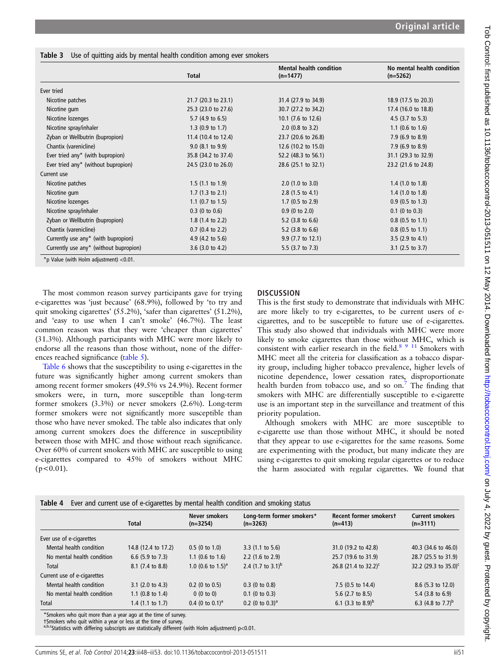<span id="page-3-0"></span>

|  |  |  | Table 3 Use of quitting aids by mental health condition among ever smokers |  |  |
|--|--|--|----------------------------------------------------------------------------|--|--|
|--|--|--|----------------------------------------------------------------------------|--|--|

|                                         | Total                       | <b>Mental health condition</b><br>$(n=1477)$ | No mental health condition<br>$(n=5262)$ |
|-----------------------------------------|-----------------------------|----------------------------------------------|------------------------------------------|
| Ever tried                              |                             |                                              |                                          |
| Nicotine patches                        | 21.7 (20.3 to 23.1)         | 31.4 (27.9 to 34.9)                          | 18.9 (17.5 to 20.3)                      |
| Nicotine gum                            | 25.3 (23.0 to 27.6)         | 30.7 (27.2 to 34.2)                          | 17.4 (16.0 to 18.8)                      |
| Nicotine lozenges                       | 5.7 $(4.9 \text{ to } 6.5)$ | 10.1 (7.6 to 12.6)                           | 4.5 $(3.7 \text{ to } 5.3)$              |
| Nicotine spray/inhaler                  | $1.3$ (0.9 to 1.7)          | $2.0$ (0.8 to 3.2)                           | 1.1 $(0.6 \text{ to } 1.6)$              |
| Zyban or Wellbutrin (bupropion)         | 11.4 (10.4 to 12.4)         | 23.7 (20.6 to 26.8)                          | $7.9$ (6.9 to 8.9)                       |
| Chantix (varenicline)                   | 9.0 (8.1 to 9.9)            | 12.6 (10.2 to 15.0)                          | 7.9 (6.9 to 8.9)                         |
| Ever tried any* (with bupropion)        | 35.8 (34.2 to 37.4)         | 52.2 (48.3 to 56.1)                          | 31.1 (29.3 to 32.9)                      |
| Ever tried any* (without bupropion)     | 24.5 (23.0 to 26.0)         | 28.6 (25.1 to 32.1)                          | 23.2 (21.6 to 24.8)                      |
| Current use                             |                             |                                              |                                          |
| Nicotine patches                        | $1.5(1.1 \text{ to } 1.9)$  | $2.0$ (1.0 to 3.0)                           | 1.4 $(1.0 \text{ to } 1.8)$              |
| Nicotine gum                            | 1.7 $(1.3 \text{ to } 2.1)$ | $2.8(1.5 \text{ to } 4.1)$                   | 1.4 $(1.0 \text{ to } 1.8)$              |
| Nicotine lozenges                       | 1.1 $(0.7 \text{ to } 1.5)$ | $1.7$ (0.5 to 2.9)                           | $0.9$ (0.5 to 1.3)                       |
| Nicotine spray/inhaler                  | $0.3$ (0 to 0.6)            | 0.9(0 to 2.0)                                | $0.1$ (0 to 0.3)                         |
| Zyban or Wellbutrin (bupropion)         | 1.8 $(1.4 \text{ to } 2.2)$ | 5.2 $(3.8 \text{ to } 6.6)$                  | $0.8$ (0.5 to 1.1)                       |
| Chantix (varenicline)                   | $0.7$ (0.4 to 2.2)          | 5.2 $(3.8 \text{ to } 6.6)$                  | $0.8$ (0.5 to 1.1)                       |
| Currently use any* (with bupropion)     | 4.9 $(4.2 \text{ to } 5.6)$ | 9.9 (7.7 to 12.1)                            | 3.5 $(2.9 \text{ to } 4.1)$              |
| Currently use any* (without bupropion)  | 3.6 $(3.0 \text{ to } 4.2)$ | 5.5 $(3.7 \text{ to } 7.3)$                  | $3.1$ (2.5 to 3.7)                       |
| *p Value (with Holm adjustment) < 0.01. |                             |                                              |                                          |

The most common reason survey participants gave for trying e-cigarettes was 'just because' (68.9%), followed by 'to try and quit smoking cigarettes' (55.2%), 'safer than cigarettes' (51.2%), and 'easy to use when I can't smoke' (46.7%). The least common reason was that they were 'cheaper than cigarettes' (31.3%). Although participants with MHC were more likely to endorse all the reasons than those without, none of the differences reached significance [\(table 5](#page-4-0)).

[Table 6](#page-4-0) shows that the susceptibility to using e-cigarettes in the future was significantly higher among current smokers than among recent former smokers (49.5% vs 24.9%). Recent former smokers were, in turn, more susceptible than long-term former smokers (3.3%) or never smokers (2.6%). Long-term former smokers were not significantly more susceptible than those who have never smoked. The table also indicates that only among current smokers does the difference in susceptibility between those with MHC and those without reach significance. Over 60% of current smokers with MHC are susceptible to using e-cigarettes compared to 45% of smokers without MHC  $(p<0.01)$ .

# **DISCUSSION**

This is the first study to demonstrate that individuals with MHC are more likely to try e-cigarettes, to be current users of ecigarettes, and to be susceptible to future use of e-cigarettes. This study also showed that individuals with MHC were more likely to smoke cigarettes than those without MHC, which is consistent with earlier research in the field.<sup>8 9 11</sup> Smokers with MHC meet all the criteria for classification as a tobacco disparity group, including higher tobacco prevalence, higher levels of nicotine dependence, lower cessation rates, disproportionate health burden from tobacco use, and so on.<sup>7</sup> The finding that smokers with MHC are differentially susceptible to e-cigarette use is an important step in the surveillance and treatment of this priority population.

Although smokers with MHC are more susceptible to e-cigarette use than those without MHC, it should be noted that they appear to use e-cigarettes for the same reasons. Some are experimenting with the product, but many indicate they are using e-cigarettes to quit smoking regular cigarettes or to reduce the harm associated with regular cigarettes. We found that

|                             | <b>Total</b>                | Never smokers<br>$(n=3254)$    | Long-term former smokers*<br>$(n=3263)$ | Recent former smokerst<br>$(n=413)$ | <b>Current smokers</b><br>$(n=3111)$ |
|-----------------------------|-----------------------------|--------------------------------|-----------------------------------------|-------------------------------------|--------------------------------------|
|                             |                             |                                |                                         |                                     |                                      |
| Ever use of e-cigarettes    |                             |                                |                                         |                                     |                                      |
| Mental health condition     | 14.8 (12.4 to 17.2)         | 0.5(0 to 1.0)                  | $3.3$ (1.1 to 5.6)                      | 31.0 (19.2 to 42.8)                 | 40.3 (34.6 to 46.0)                  |
| No mental health condition  | 6.6 $(5.9 \text{ to } 7.3)$ | $1.1$ (0.6 to $1.6$ )          | $2.2$ (1.6 to 2.9)                      | 25.7 (19.6 to 31.9)                 | 28.7 (25.5 to 31.9)                  |
| Total                       | 8.1 (7.4 to 8.8)            | 1.0 $(0.6 \text{ to } 1.5)^a$  | 2.4 $(1.7 \text{ to } 3.1)^b$           | 26.8 (21.4 to 32.2) <sup>c</sup>    | 32.2 (29.3 to 35.0) <sup>c</sup>     |
| Current use of e-cigarettes |                             |                                |                                         |                                     |                                      |
| Mental health condition     | $3.1$ (2.0 to 4.3)          | $0.2$ (0 to 0.5)               | $0.3$ (0 to 0.8)                        | 7.5 (0.5 to 14.4)                   | $8.6$ (5.3 to 12.0)                  |
| No mental health condition  | 1.1 $(0.8 \text{ to } 1.4)$ | 0(0 to 0)                      | $0.1$ (0 to 0.3)                        | 5.6 $(2.7 \text{ to } 8.5)$         | 5.4 $(3.8 \text{ to } 6.9)$          |
| Total                       | 1.4 $(1.1 \text{ to } 1.7)$ | 0.4 (0 to $0.1$ ) <sup>a</sup> | 0.2 (0 to $(0.3)^a$                     | 6.1 (3.3 to 8.9) <sup>b</sup>       | 6.3 (4.8 to 7.7) <sup>b</sup>        |

\*Smokers who quit more than a year ago at the time of survey.

†Smokers who quit within a year or less at the time of survey.

 $\cdot$ Statistics with differing subscripts are statistically different (with Holm adjustment) p<0.01.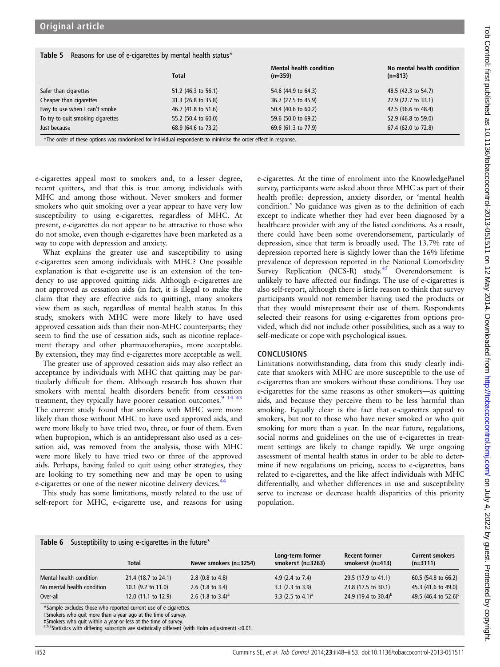<span id="page-4-0"></span>

|                                   | <b>Total</b>        | <b>Mental health condition</b><br>$(n=359)$ | No mental health condition<br>$(n=813)$ |
|-----------------------------------|---------------------|---------------------------------------------|-----------------------------------------|
| Safer than cigarettes             | 51.2 (46.3 to 56.1) | 54.6 (44.9 to 64.3)                         | 48.5 (42.3 to 54.7)                     |
| Cheaper than cigarettes           | 31.3 (26.8 to 35.8) | 36.7 (27.5 to 45.9)                         | 27.9 (22.7 to 33.1)                     |
| Easy to use when I can't smoke    | 46.7 (41.8 to 51.6) | 50.4 (40.6 to 60.2)                         | 42.5 (36.6 to 48.4)                     |
| To try to quit smoking cigarettes | 55.2 (50.4 to 60.0) | 59.6 (50.0 to 69.2)                         | 52.9 (46.8 to 59.0)                     |
| Just because                      | 68.9 (64.6 to 73.2) | 69.6 (61.3 to 77.9)                         | 67.4 (62.0 to 72.8)                     |

\*The order of these options was randomised for individual respondents to minimise the order effect in response.

e-cigarettes appeal most to smokers and, to a lesser degree, recent quitters, and that this is true among individuals with MHC and among those without. Never smokers and former smokers who quit smoking over a year appear to have very low susceptibility to using e-cigarettes, regardless of MHC. At present, e-cigarettes do not appear to be attractive to those who do not smoke, even though e-cigarettes have been marketed as a way to cope with depression and anxiety.

What explains the greater use and susceptibility to using e-cigarettes seen among individuals with MHC? One possible explanation is that e-cigarette use is an extension of the tendency to use approved quitting aids. Although e-cigarettes are not approved as cessation aids (in fact, it is illegal to make the claim that they are effective aids to quitting), many smokers view them as such, regardless of mental health status. In this study, smokers with MHC were more likely to have used approved cessation aids than their non-MHC counterparts; they seem to find the use of cessation aids, such as nicotine replacement therapy and other pharmacotherapies, more acceptable. By extension, they may find e-cigarettes more acceptable as well.

The greater use of approved cessation aids may also reflect an acceptance by individuals with MHC that quitting may be particularly difficult for them. Although research has shown that smokers with mental health disorders benefit from cessation treatment, they typically have poorer cessation outcomes.<sup>9</sup> <sup>14 43</sup> The current study found that smokers with MHC were more likely than those without MHC to have used approved aids, and were more likely to have tried two, three, or four of them. Even when bupropion, which is an antidepressant also used as a cessation aid, was removed from the analysis, those with MHC were more likely to have tried two or three of the approved aids. Perhaps, having failed to quit using other strategies, they are looking to try something new and may be open to using e-cigarettes or one of the newer nicotine delivery devices.<sup>[44](#page-5-0)</sup>

This study has some limitations, mostly related to the use of self-report for MHC, e-cigarette use, and reasons for using

e-cigarettes. At the time of enrolment into the KnowledgePanel survey, participants were asked about three MHC as part of their health profile: depression, anxiety disorder, or 'mental health condition.' No guidance was given as to the definition of each except to indicate whether they had ever been diagnosed by a healthcare provider with any of the listed conditions. As a result, there could have been some overendorsement, particularly of depression, since that term is broadly used. The 13.7% rate of depression reported here is slightly lower than the 16% lifetime prevalence of depression reported in the National Comorbidity Survey Replication (NCS-R) study.<sup>[45](#page-5-0)</sup> Overendorsement is unlikely to have affected our findings. The use of e-cigarettes is also self-report, although there is little reason to think that survey participants would not remember having used the products or that they would misrepresent their use of them. Respondents selected their reasons for using e-cigarettes from options provided, which did not include other possibilities, such as a way to self-medicate or cope with psychological issues.

## **CONCLUSIONS**

Limitations notwithstanding, data from this study clearly indicate that smokers with MHC are more susceptible to the use of e-cigarettes than are smokers without these conditions. They use e-cigarettes for the same reasons as other smokers—as quitting aids, and because they perceive them to be less harmful than smoking. Equally clear is the fact that e-cigarettes appeal to smokers, but not to those who have never smoked or who quit smoking for more than a year. In the near future, regulations, social norms and guidelines on the use of e-cigarettes in treatment settings are likely to change rapidly. We urge ongoing assessment of mental health status in order to be able to determine if new regulations on pricing, access to e-cigarettes, bans related to e-cigarettes, and the like affect individuals with MHC differentially, and whether differences in use and susceptibility serve to increase or decrease health disparities of this priority population.

|                            | <b>Total</b>        | Never smokers (n=3254)        | Long-term former<br>smokerst $(n=3263)$ | <b>Recent former</b><br>smokers $\ddagger$ (n=413) | <b>Current smokers</b><br>$(n=3111)$ |
|----------------------------|---------------------|-------------------------------|-----------------------------------------|----------------------------------------------------|--------------------------------------|
| Mental health condition    | 21.4 (18.7 to 24.1) | 2.8 $(0.8 \text{ to } 4.8)$   | 4.9 (2.4 to 7.4)                        | 29.5 (17.9 to 41.1)                                | 60.5 (54.8 to 66.2)                  |
| No mental health condition | 10.1 (9.2 to 11.0)  | 2.6 $(1.8 \text{ to } 3.4)$   | $3.1$ (2.3 to 3.9)                      | 23.8 (17.5 to 30.1)                                | 45.3 (41.6 to 49.0)                  |
| Over-all                   | 12.0 (11.1 to 12.9) | 2.6 $(1.8 \text{ to } 3.4)^a$ | 3.3 (2.5 to 4.1) <sup>a</sup>           | 24.9 (19.4 to 30.4) <sup>b</sup>                   | 49.5 (46.4 to 52.6) <sup>c</sup>     |

ample excludes those who reported current use of e-cigarettes.

†Smokers who quit more than a year ago at the time of survey.

‡Smokers who quit within a year or less at the time of survey.

 $\cdot$ <sup>c</sup>Statistics with differing subscripts are statistically different (with Holm adjustment) <0.01.